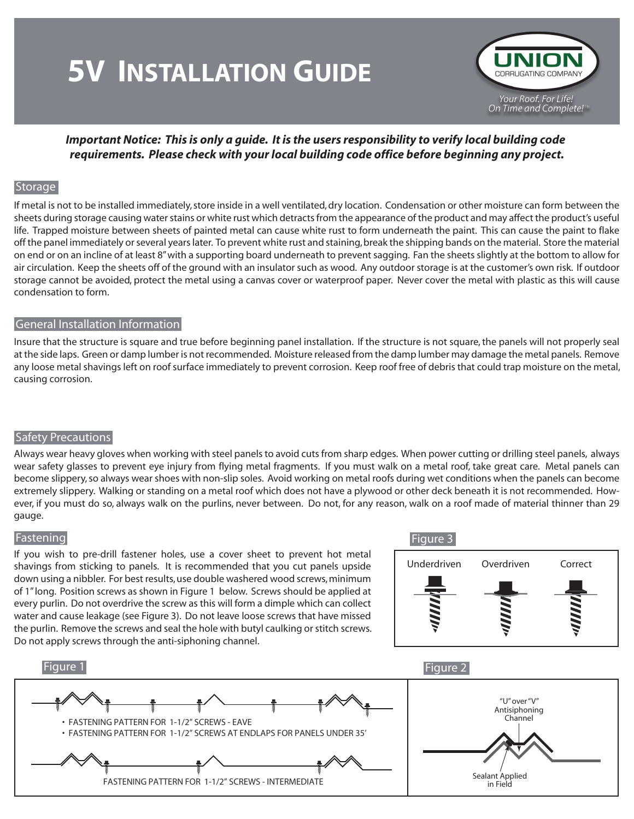# **5V INSTALLATION GUIDE**



## *Important Notice: This is only a guide. It is the users responsibility to verify local building code requirements. Please check with your local building code office before beginning any project.*

## **Storage**

If metal is not to be installed immediately, store inside in a well ventilated, dry location. Condensation or other moisture can form between the sheets during storage causing water stains or white rust which detracts from the appearance of the product and may affect the product's useful life. Trapped moisture between sheets of painted metal can cause white rust to form underneath the paint. This can cause the paint to flake off the panel immediately or several years later. To prevent white rust and staining, break the shipping bands on the material. Store the material on end or on an incline of at least 8" with a supporting board underneath to prevent sagging. Fan the sheets slightly at the bottom to allow for air circulation. Keep the sheets off of the ground with an insulator such as wood. Any outdoor storage is at the customer's own risk. If outdoor storage cannot be avoided, protect the metal using a canvas cover or waterproof paper. Never cover the metal with plastic as this will cause condensation to form.

#### General Installation Information

Insure that the structure is square and true before beginning panel installation. If the structure is not square, the panels will not properly seal at the side laps. Green or damp lumber is not recommended. Moisture released from the damp lumber may damage the metal panels. Remove any loose metal shavings left on roof surface immediately to prevent corrosion. Keep roof free of debris that could trap moisture on the metal, causing corrosion.

## Safety Precautions

Always wear heavy gloves when working with steel panels to avoid cuts from sharp edges. When power cutting or drilling steel panels, always wear safety glasses to prevent eye injury from flying metal fragments. If you must walk on a metal roof, take great care. Metal panels can become slippery, so always wear shoes with non-slip soles. Avoid working on metal roofs during wet conditions when the panels can become extremely slippery. Walking or standing on a metal roof which does not have a plywood or other deck beneath it is not recommended. However, if you must do so, always walk on the purlins, never between. Do not, for any reason, walk on a roof made of material thinner than 29 gauge.

#### Fastening

If you wish to pre-drill fastener holes, use a cover sheet to prevent hot metal shavings from sticking to panels. It is recommended that you cut panels upside down using a nibbler. For best results, use double washered wood screws, minimum of 1" long. Position screws as shown in Figure 1 below. Screws should be applied at every purlin. Do not overdrive the screw as this will form a dimple which can collect water and cause leakage (see Figure 3). Do not leave loose screws that have missed the purlin. Remove the screws and seal the hole with butyl caulking or stitch screws. Do not apply screws through the anti-siphoning channel.